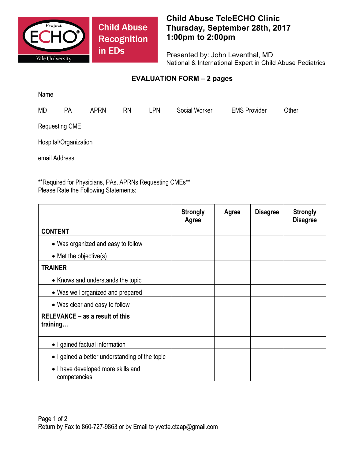

**Child Abuse Recognition** in EDs

## **Child Abuse TeleECHO Clinic Thursday, September 28th, 2017 1:00pm to 2:00pm**

Presented by: John Leventhal, MD National & International Expert in Child Abuse Pediatrics

## **EVALUATION FORM – 2 pages**

Name

MD PA APRN RN LPN Social Worker EMS Provider Other

Requesting CME

Hospital/Organization

email Address

\*\*Required for Physicians, PAs, APRNs Requesting CMEs\*\* Please Rate the Following Statements:

|                                                    | <b>Strongly</b><br><b>Agree</b> | Agree | <b>Disagree</b> | <b>Strongly</b><br><b>Disagree</b> |
|----------------------------------------------------|---------------------------------|-------|-----------------|------------------------------------|
| <b>CONTENT</b>                                     |                                 |       |                 |                                    |
| • Was organized and easy to follow                 |                                 |       |                 |                                    |
| $\bullet$ Met the objective(s)                     |                                 |       |                 |                                    |
| <b>TRAINER</b>                                     |                                 |       |                 |                                    |
| • Knows and understands the topic                  |                                 |       |                 |                                    |
| • Was well organized and prepared                  |                                 |       |                 |                                    |
| • Was clear and easy to follow                     |                                 |       |                 |                                    |
| RELEVANCE – as a result of this<br>training        |                                 |       |                 |                                    |
| • I gained factual information                     |                                 |       |                 |                                    |
| • I gained a better understanding of the topic     |                                 |       |                 |                                    |
| • I have developed more skills and<br>competencies |                                 |       |                 |                                    |